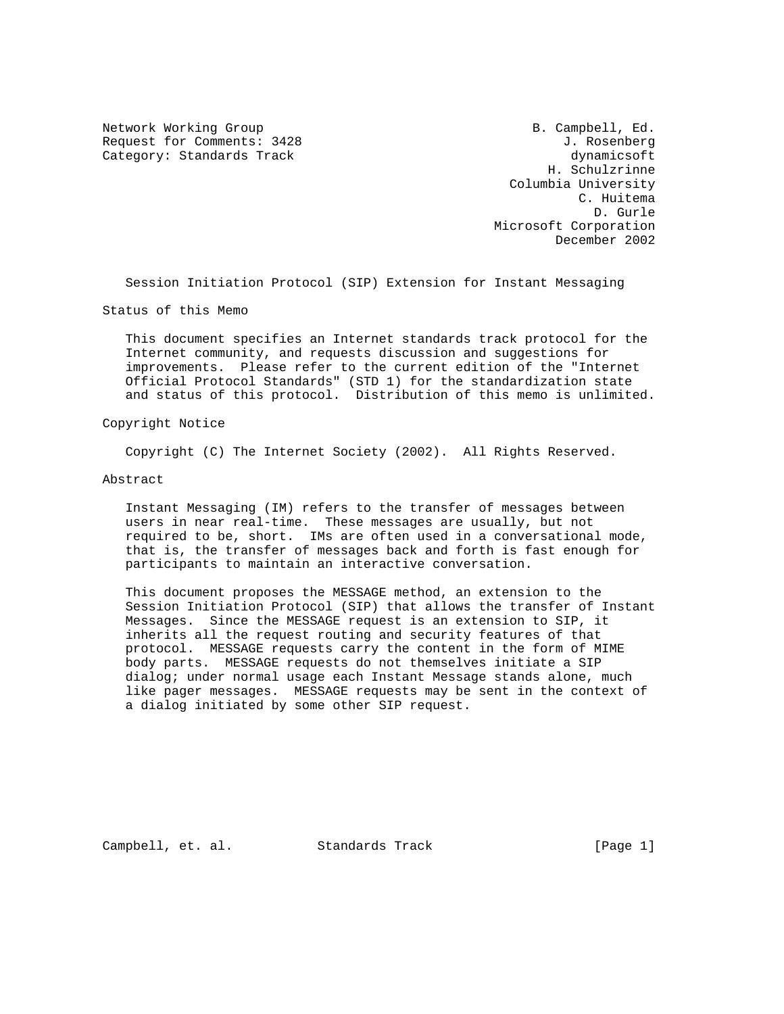Network Working Group B. Campbell, Ed. Request for Comments: 3428 J. Rosenberg Category: Standards Track dynamicsoft dynamicsoft

 H. Schulzrinne Columbia University C. Huitema D. Gurle Microsoft Corporation December 2002

Session Initiation Protocol (SIP) Extension for Instant Messaging

Status of this Memo

 This document specifies an Internet standards track protocol for the Internet community, and requests discussion and suggestions for improvements. Please refer to the current edition of the "Internet Official Protocol Standards" (STD 1) for the standardization state and status of this protocol. Distribution of this memo is unlimited.

Copyright Notice

Copyright (C) The Internet Society (2002). All Rights Reserved.

Abstract

 Instant Messaging (IM) refers to the transfer of messages between users in near real-time. These messages are usually, but not required to be, short. IMs are often used in a conversational mode, that is, the transfer of messages back and forth is fast enough for participants to maintain an interactive conversation.

 This document proposes the MESSAGE method, an extension to the Session Initiation Protocol (SIP) that allows the transfer of Instant Messages. Since the MESSAGE request is an extension to SIP, it inherits all the request routing and security features of that protocol. MESSAGE requests carry the content in the form of MIME body parts. MESSAGE requests do not themselves initiate a SIP dialog; under normal usage each Instant Message stands alone, much like pager messages. MESSAGE requests may be sent in the context of a dialog initiated by some other SIP request.

Campbell, et. al. Standards Track [Page 1]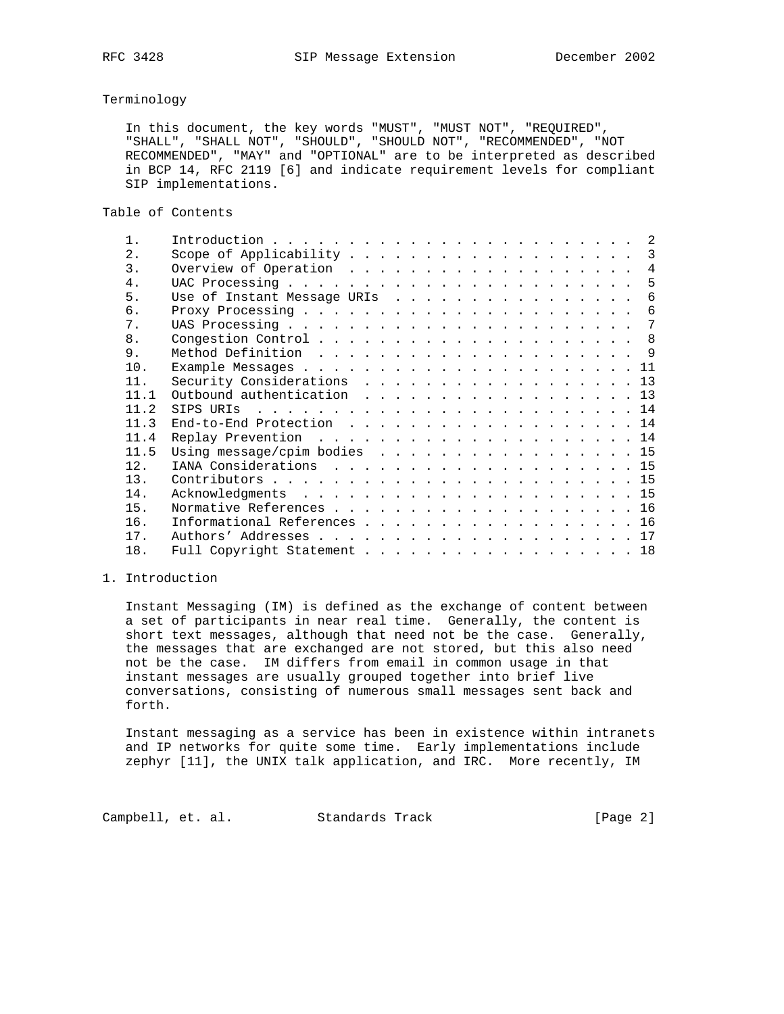### Terminology

 In this document, the key words "MUST", "MUST NOT", "REQUIRED", "SHALL", "SHALL NOT", "SHOULD", "SHOULD NOT", "RECOMMENDED", "NOT RECOMMENDED", "MAY" and "OPTIONAL" are to be interpreted as described in BCP 14, RFC 2119 [6] and indicate requirement levels for compliant SIP implementations.

Table of Contents

| $\mathbf{1}$     |                              |  |  |  |  |  |  |  |  |  |                |
|------------------|------------------------------|--|--|--|--|--|--|--|--|--|----------------|
| $2$ .            |                              |  |  |  |  |  |  |  |  |  |                |
| $\overline{3}$ . |                              |  |  |  |  |  |  |  |  |  | $\overline{4}$ |
| 4.               |                              |  |  |  |  |  |  |  |  |  | 5              |
| 5.               | Use of Instant Message URIs  |  |  |  |  |  |  |  |  |  | 6              |
| б.               |                              |  |  |  |  |  |  |  |  |  | 6              |
| 7.               |                              |  |  |  |  |  |  |  |  |  |                |
| 8.               |                              |  |  |  |  |  |  |  |  |  |                |
| 9.               |                              |  |  |  |  |  |  |  |  |  |                |
| 10.              |                              |  |  |  |  |  |  |  |  |  |                |
| 11.              | Security Considerations 13   |  |  |  |  |  |  |  |  |  |                |
| 11.1             | Outbound authentication 13   |  |  |  |  |  |  |  |  |  |                |
| 11.2             |                              |  |  |  |  |  |  |  |  |  |                |
| 11.3             | End-to-End Protection 14     |  |  |  |  |  |  |  |  |  |                |
| 11.4             |                              |  |  |  |  |  |  |  |  |  |                |
| 11.5             | Using message/cpim bodies 15 |  |  |  |  |  |  |  |  |  |                |
| 12.              | IANA Considerations 15       |  |  |  |  |  |  |  |  |  |                |
| 13.              |                              |  |  |  |  |  |  |  |  |  |                |
| 14.              |                              |  |  |  |  |  |  |  |  |  |                |
| 15.              |                              |  |  |  |  |  |  |  |  |  |                |
| 16.              | Informational References 16  |  |  |  |  |  |  |  |  |  |                |
| 17.              |                              |  |  |  |  |  |  |  |  |  |                |
| 18.              | Full Copyright Statement 18  |  |  |  |  |  |  |  |  |  |                |

## 1. Introduction

 Instant Messaging (IM) is defined as the exchange of content between a set of participants in near real time. Generally, the content is short text messages, although that need not be the case. Generally, the messages that are exchanged are not stored, but this also need not be the case. IM differs from email in common usage in that instant messages are usually grouped together into brief live conversations, consisting of numerous small messages sent back and forth.

 Instant messaging as a service has been in existence within intranets and IP networks for quite some time. Early implementations include zephyr [11], the UNIX talk application, and IRC. More recently, IM

Campbell, et. al. Standards Track [Page 2]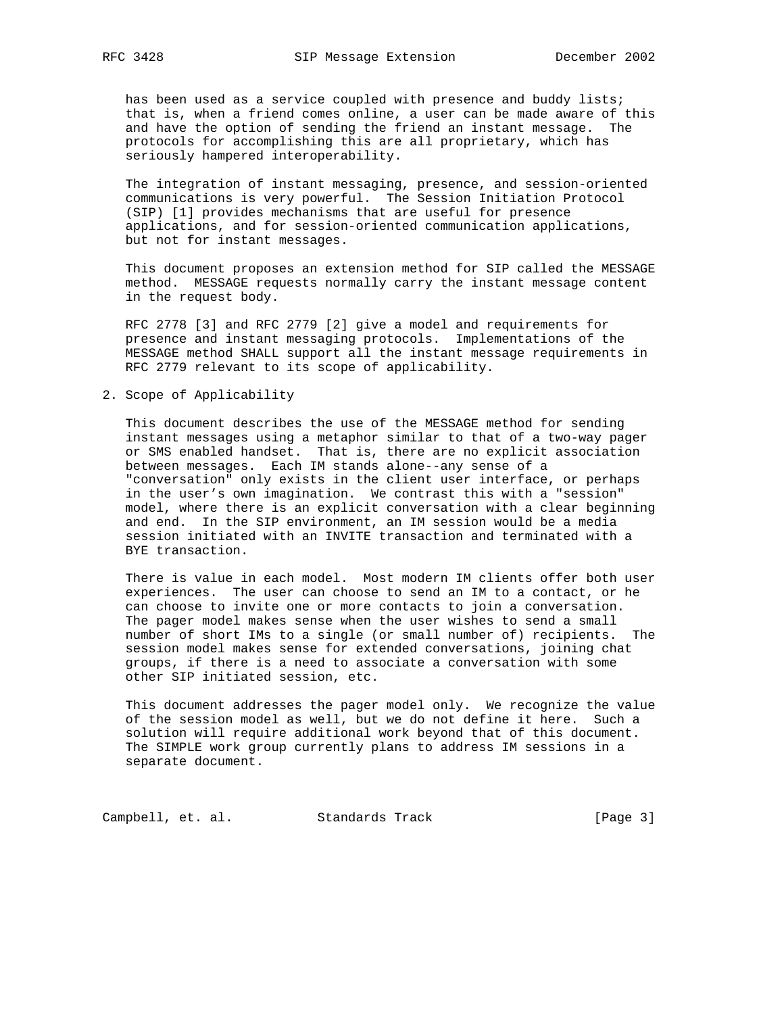has been used as a service coupled with presence and buddy lists; that is, when a friend comes online, a user can be made aware of this and have the option of sending the friend an instant message. The protocols for accomplishing this are all proprietary, which has seriously hampered interoperability.

 The integration of instant messaging, presence, and session-oriented communications is very powerful. The Session Initiation Protocol (SIP) [1] provides mechanisms that are useful for presence applications, and for session-oriented communication applications, but not for instant messages.

 This document proposes an extension method for SIP called the MESSAGE method. MESSAGE requests normally carry the instant message content in the request body.

 RFC 2778 [3] and RFC 2779 [2] give a model and requirements for presence and instant messaging protocols. Implementations of the MESSAGE method SHALL support all the instant message requirements in RFC 2779 relevant to its scope of applicability.

2. Scope of Applicability

 This document describes the use of the MESSAGE method for sending instant messages using a metaphor similar to that of a two-way pager or SMS enabled handset. That is, there are no explicit association between messages. Each IM stands alone--any sense of a "conversation" only exists in the client user interface, or perhaps in the user's own imagination. We contrast this with a "session" model, where there is an explicit conversation with a clear beginning and end. In the SIP environment, an IM session would be a media session initiated with an INVITE transaction and terminated with a BYE transaction.

 There is value in each model. Most modern IM clients offer both user experiences. The user can choose to send an IM to a contact, or he can choose to invite one or more contacts to join a conversation. The pager model makes sense when the user wishes to send a small number of short IMs to a single (or small number of) recipients. The session model makes sense for extended conversations, joining chat groups, if there is a need to associate a conversation with some other SIP initiated session, etc.

 This document addresses the pager model only. We recognize the value of the session model as well, but we do not define it here. Such a solution will require additional work beyond that of this document. The SIMPLE work group currently plans to address IM sessions in a separate document.

Campbell, et. al. Standards Track [Page 3]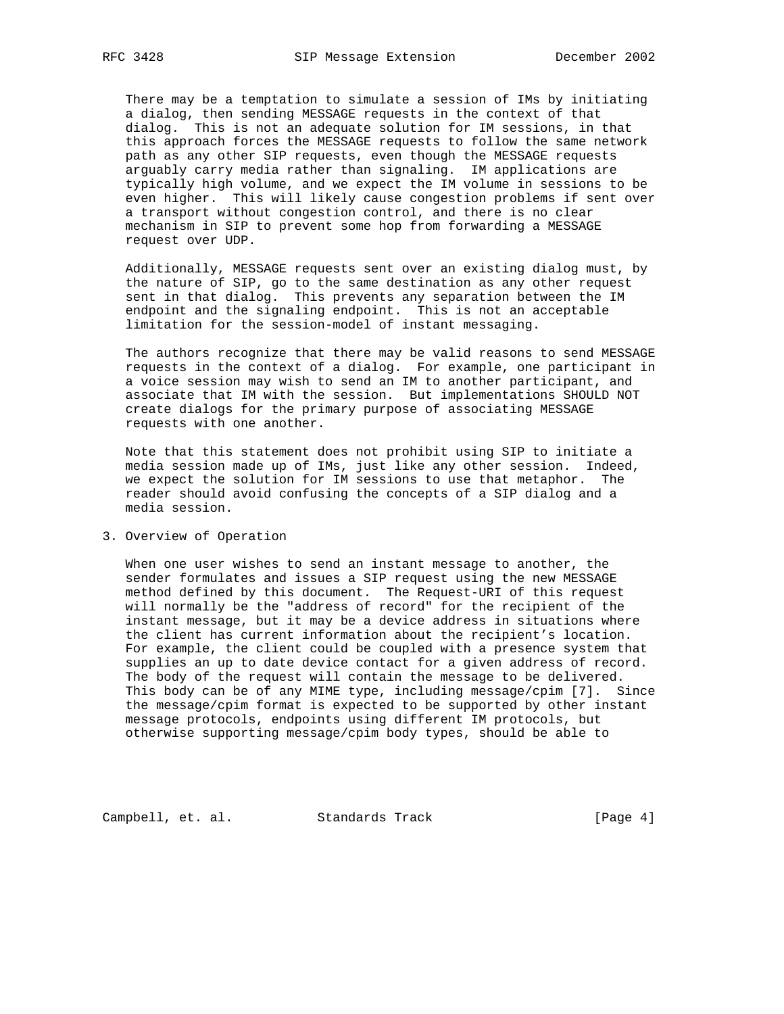There may be a temptation to simulate a session of IMs by initiating a dialog, then sending MESSAGE requests in the context of that dialog. This is not an adequate solution for IM sessions, in that this approach forces the MESSAGE requests to follow the same network path as any other SIP requests, even though the MESSAGE requests arguably carry media rather than signaling. IM applications are typically high volume, and we expect the IM volume in sessions to be even higher. This will likely cause congestion problems if sent over a transport without congestion control, and there is no clear mechanism in SIP to prevent some hop from forwarding a MESSAGE request over UDP.

 Additionally, MESSAGE requests sent over an existing dialog must, by the nature of SIP, go to the same destination as any other request sent in that dialog. This prevents any separation between the IM endpoint and the signaling endpoint. This is not an acceptable limitation for the session-model of instant messaging.

 The authors recognize that there may be valid reasons to send MESSAGE requests in the context of a dialog. For example, one participant in a voice session may wish to send an IM to another participant, and associate that IM with the session. But implementations SHOULD NOT create dialogs for the primary purpose of associating MESSAGE requests with one another.

 Note that this statement does not prohibit using SIP to initiate a media session made up of IMs, just like any other session. Indeed, we expect the solution for IM sessions to use that metaphor. The reader should avoid confusing the concepts of a SIP dialog and a media session.

## 3. Overview of Operation

 When one user wishes to send an instant message to another, the sender formulates and issues a SIP request using the new MESSAGE method defined by this document. The Request-URI of this request will normally be the "address of record" for the recipient of the instant message, but it may be a device address in situations where the client has current information about the recipient's location. For example, the client could be coupled with a presence system that supplies an up to date device contact for a given address of record. The body of the request will contain the message to be delivered. This body can be of any MIME type, including message/cpim [7]. Since the message/cpim format is expected to be supported by other instant message protocols, endpoints using different IM protocols, but otherwise supporting message/cpim body types, should be able to

Campbell, et. al. Standards Track [Page 4]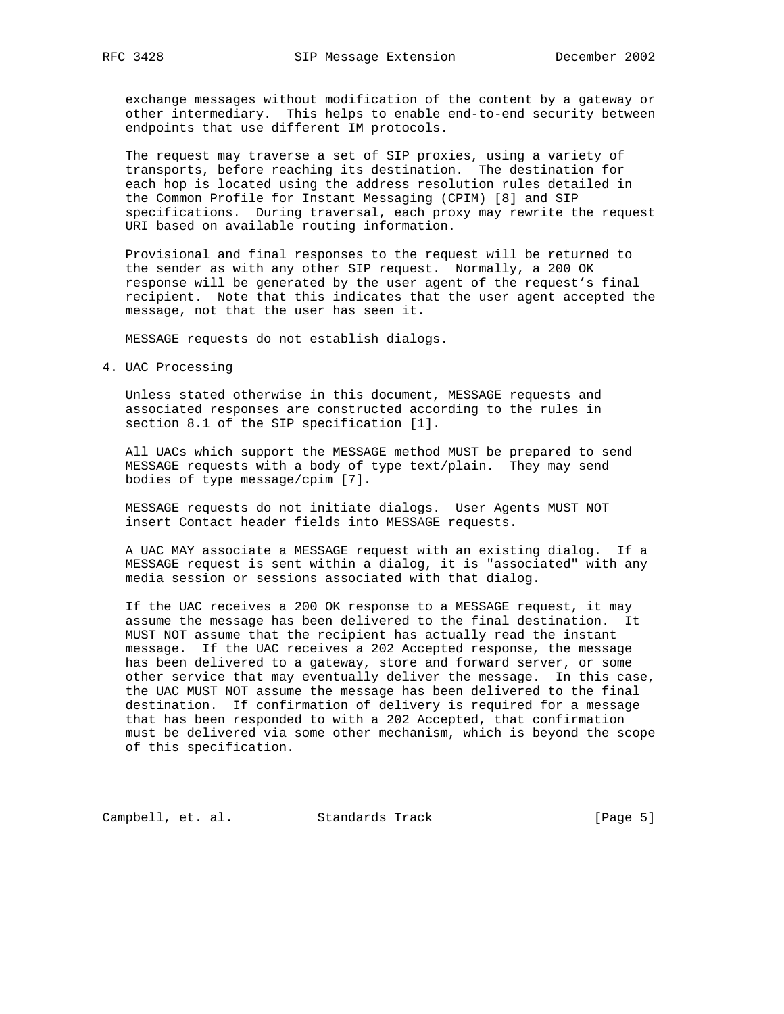exchange messages without modification of the content by a gateway or other intermediary. This helps to enable end-to-end security between endpoints that use different IM protocols.

 The request may traverse a set of SIP proxies, using a variety of transports, before reaching its destination. The destination for each hop is located using the address resolution rules detailed in the Common Profile for Instant Messaging (CPIM) [8] and SIP specifications. During traversal, each proxy may rewrite the request URI based on available routing information.

 Provisional and final responses to the request will be returned to the sender as with any other SIP request. Normally, a 200 OK response will be generated by the user agent of the request's final recipient. Note that this indicates that the user agent accepted the message, not that the user has seen it.

MESSAGE requests do not establish dialogs.

4. UAC Processing

 Unless stated otherwise in this document, MESSAGE requests and associated responses are constructed according to the rules in section 8.1 of the SIP specification [1].

 All UACs which support the MESSAGE method MUST be prepared to send MESSAGE requests with a body of type text/plain. They may send bodies of type message/cpim [7].

 MESSAGE requests do not initiate dialogs. User Agents MUST NOT insert Contact header fields into MESSAGE requests.

 A UAC MAY associate a MESSAGE request with an existing dialog. If a MESSAGE request is sent within a dialog, it is "associated" with any media session or sessions associated with that dialog.

 If the UAC receives a 200 OK response to a MESSAGE request, it may assume the message has been delivered to the final destination. It MUST NOT assume that the recipient has actually read the instant message. If the UAC receives a 202 Accepted response, the message has been delivered to a gateway, store and forward server, or some other service that may eventually deliver the message. In this case, the UAC MUST NOT assume the message has been delivered to the final destination. If confirmation of delivery is required for a message that has been responded to with a 202 Accepted, that confirmation must be delivered via some other mechanism, which is beyond the scope of this specification.

Campbell, et. al. Standards Track [Page 5]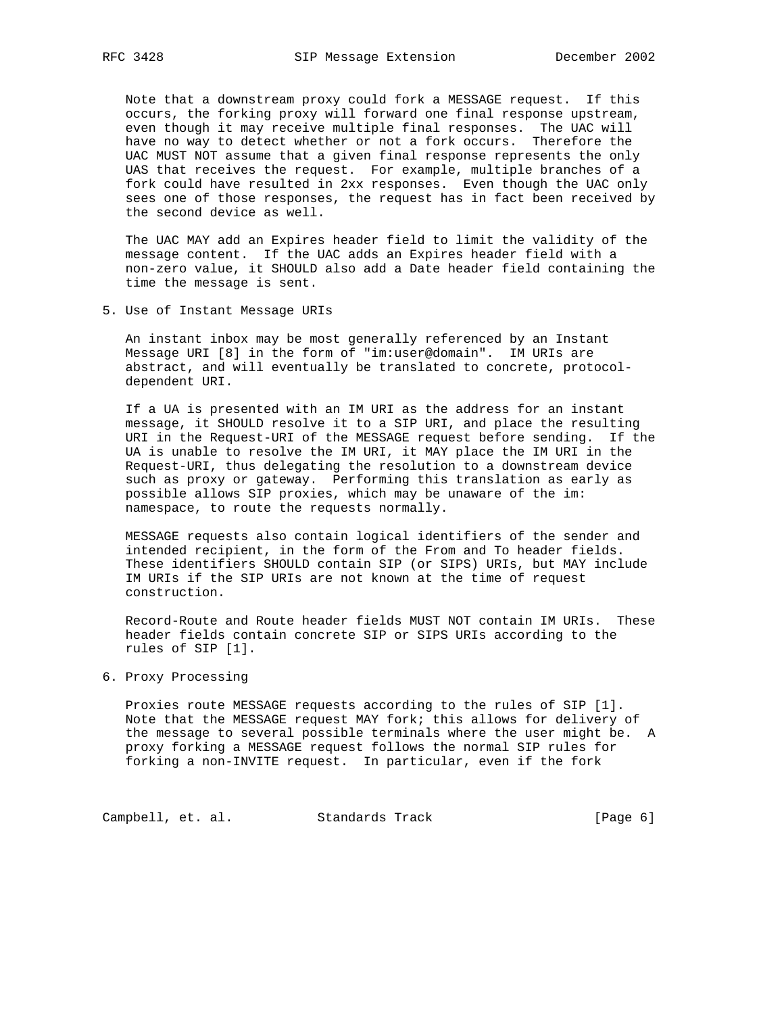Note that a downstream proxy could fork a MESSAGE request. If this occurs, the forking proxy will forward one final response upstream, even though it may receive multiple final responses. The UAC will have no way to detect whether or not a fork occurs. Therefore the UAC MUST NOT assume that a given final response represents the only UAS that receives the request. For example, multiple branches of a fork could have resulted in 2xx responses. Even though the UAC only sees one of those responses, the request has in fact been received by the second device as well.

 The UAC MAY add an Expires header field to limit the validity of the message content. If the UAC adds an Expires header field with a non-zero value, it SHOULD also add a Date header field containing the time the message is sent.

5. Use of Instant Message URIs

 An instant inbox may be most generally referenced by an Instant Message URI [8] in the form of "im:user@domain". IM URIs are abstract, and will eventually be translated to concrete, protocol dependent URI.

 If a UA is presented with an IM URI as the address for an instant message, it SHOULD resolve it to a SIP URI, and place the resulting URI in the Request-URI of the MESSAGE request before sending. If the UA is unable to resolve the IM URI, it MAY place the IM URI in the Request-URI, thus delegating the resolution to a downstream device such as proxy or gateway. Performing this translation as early as possible allows SIP proxies, which may be unaware of the im: namespace, to route the requests normally.

 MESSAGE requests also contain logical identifiers of the sender and intended recipient, in the form of the From and To header fields. These identifiers SHOULD contain SIP (or SIPS) URIs, but MAY include IM URIs if the SIP URIs are not known at the time of request construction.

 Record-Route and Route header fields MUST NOT contain IM URIs. These header fields contain concrete SIP or SIPS URIs according to the rules of SIP [1].

## 6. Proxy Processing

 Proxies route MESSAGE requests according to the rules of SIP [1]. Note that the MESSAGE request MAY fork; this allows for delivery of the message to several possible terminals where the user might be. A proxy forking a MESSAGE request follows the normal SIP rules for forking a non-INVITE request. In particular, even if the fork

Campbell, et. al. Standards Track [Page 6]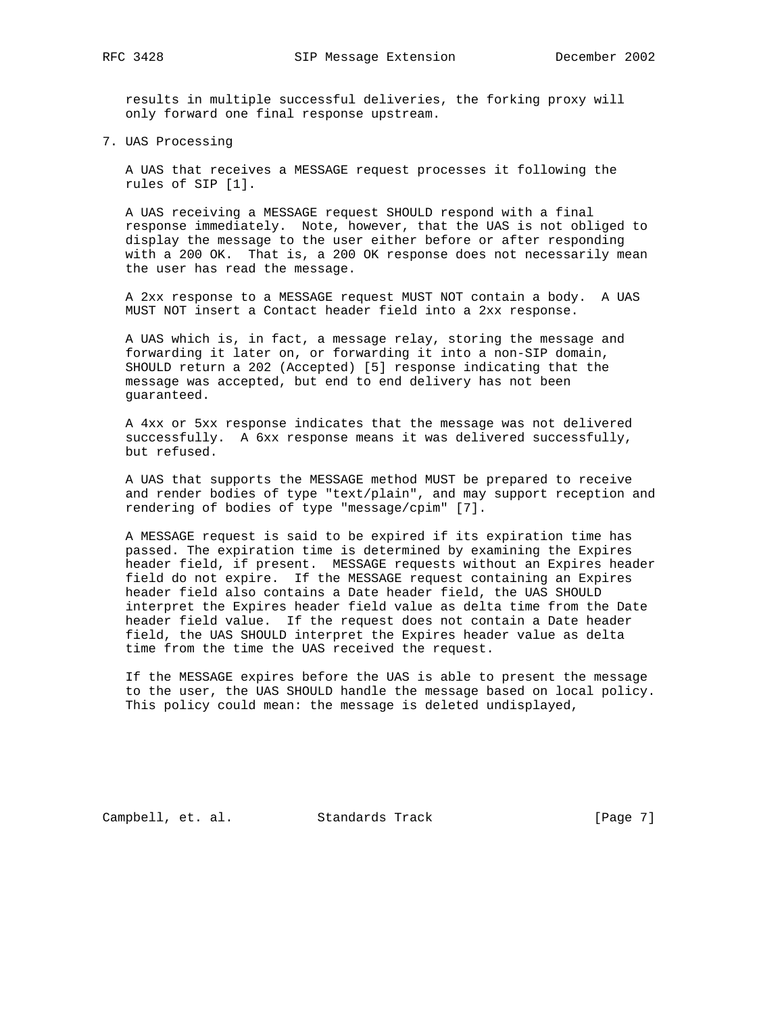results in multiple successful deliveries, the forking proxy will only forward one final response upstream.

7. UAS Processing

 A UAS that receives a MESSAGE request processes it following the rules of SIP [1].

 A UAS receiving a MESSAGE request SHOULD respond with a final response immediately. Note, however, that the UAS is not obliged to display the message to the user either before or after responding with a 200 OK. That is, a 200 OK response does not necessarily mean the user has read the message.

 A 2xx response to a MESSAGE request MUST NOT contain a body. A UAS MUST NOT insert a Contact header field into a 2xx response.

 A UAS which is, in fact, a message relay, storing the message and forwarding it later on, or forwarding it into a non-SIP domain, SHOULD return a 202 (Accepted) [5] response indicating that the message was accepted, but end to end delivery has not been guaranteed.

 A 4xx or 5xx response indicates that the message was not delivered successfully. A 6xx response means it was delivered successfully, but refused.

 A UAS that supports the MESSAGE method MUST be prepared to receive and render bodies of type "text/plain", and may support reception and rendering of bodies of type "message/cpim" [7].

 A MESSAGE request is said to be expired if its expiration time has passed. The expiration time is determined by examining the Expires header field, if present. MESSAGE requests without an Expires header field do not expire. If the MESSAGE request containing an Expires header field also contains a Date header field, the UAS SHOULD interpret the Expires header field value as delta time from the Date header field value. If the request does not contain a Date header field, the UAS SHOULD interpret the Expires header value as delta time from the time the UAS received the request.

 If the MESSAGE expires before the UAS is able to present the message to the user, the UAS SHOULD handle the message based on local policy. This policy could mean: the message is deleted undisplayed,

Campbell, et. al. Standards Track [Page 7]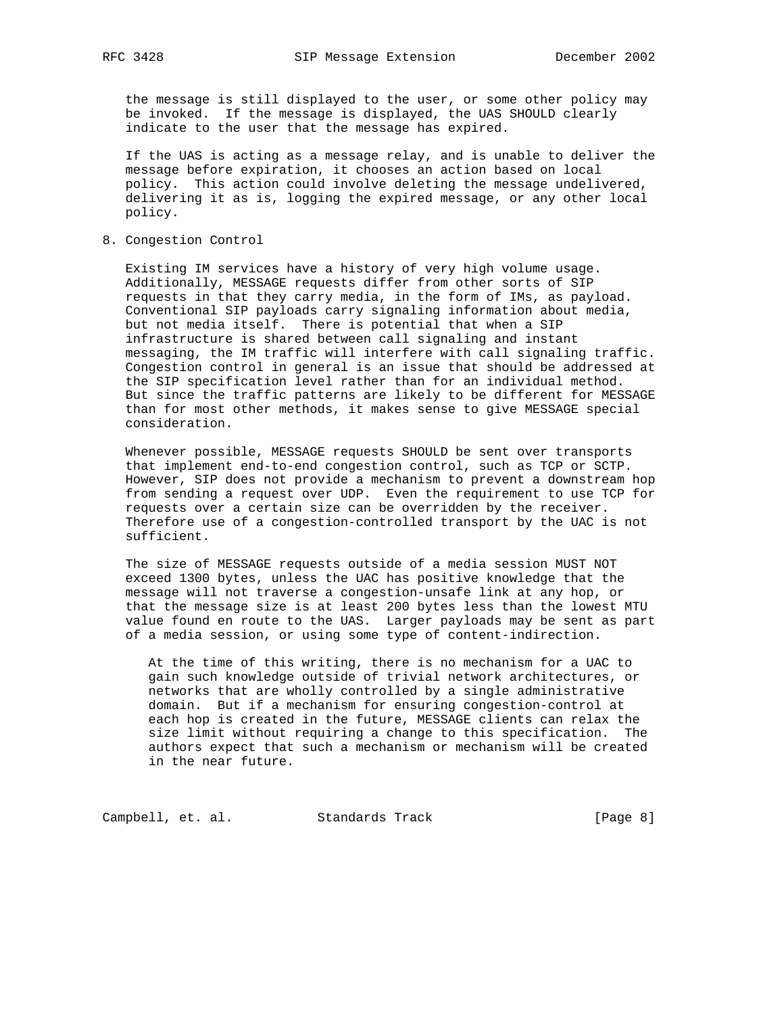the message is still displayed to the user, or some other policy may be invoked. If the message is displayed, the UAS SHOULD clearly indicate to the user that the message has expired.

 If the UAS is acting as a message relay, and is unable to deliver the message before expiration, it chooses an action based on local policy. This action could involve deleting the message undelivered, delivering it as is, logging the expired message, or any other local policy.

8. Congestion Control

 Existing IM services have a history of very high volume usage. Additionally, MESSAGE requests differ from other sorts of SIP requests in that they carry media, in the form of IMs, as payload. Conventional SIP payloads carry signaling information about media, but not media itself. There is potential that when a SIP infrastructure is shared between call signaling and instant messaging, the IM traffic will interfere with call signaling traffic. Congestion control in general is an issue that should be addressed at the SIP specification level rather than for an individual method. But since the traffic patterns are likely to be different for MESSAGE than for most other methods, it makes sense to give MESSAGE special consideration.

 Whenever possible, MESSAGE requests SHOULD be sent over transports that implement end-to-end congestion control, such as TCP or SCTP. However, SIP does not provide a mechanism to prevent a downstream hop from sending a request over UDP. Even the requirement to use TCP for requests over a certain size can be overridden by the receiver. Therefore use of a congestion-controlled transport by the UAC is not sufficient.

 The size of MESSAGE requests outside of a media session MUST NOT exceed 1300 bytes, unless the UAC has positive knowledge that the message will not traverse a congestion-unsafe link at any hop, or that the message size is at least 200 bytes less than the lowest MTU value found en route to the UAS. Larger payloads may be sent as part of a media session, or using some type of content-indirection.

 At the time of this writing, there is no mechanism for a UAC to gain such knowledge outside of trivial network architectures, or networks that are wholly controlled by a single administrative domain. But if a mechanism for ensuring congestion-control at each hop is created in the future, MESSAGE clients can relax the size limit without requiring a change to this specification. The authors expect that such a mechanism or mechanism will be created in the near future.

Campbell, et. al. Standards Track [Page 8]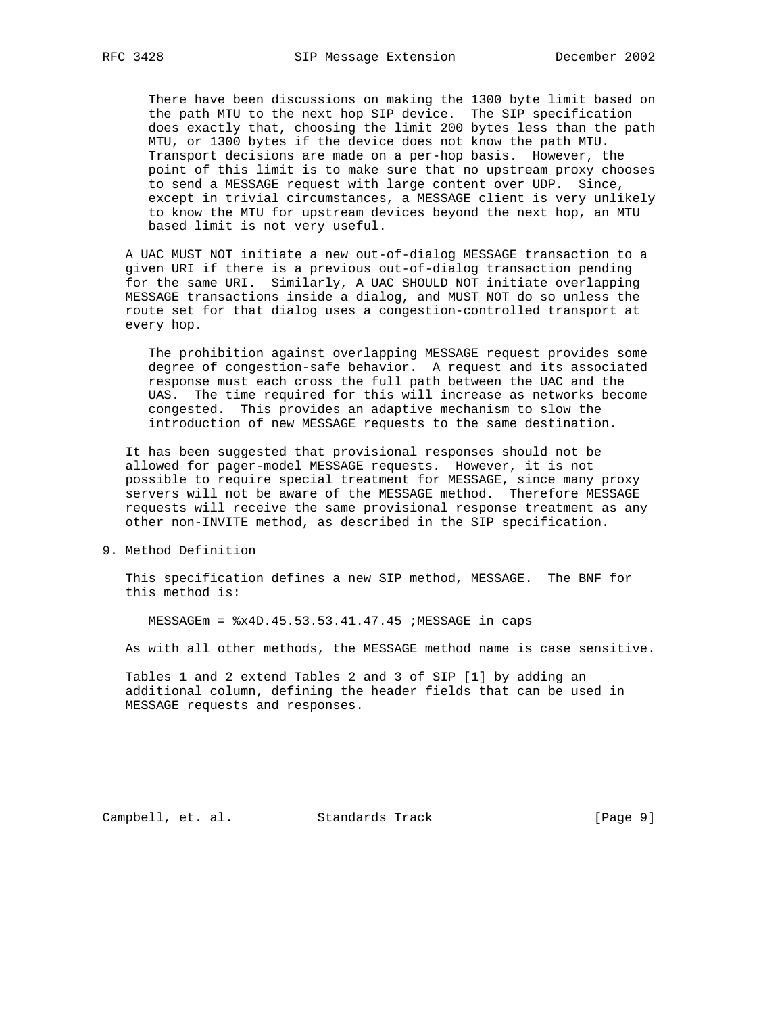There have been discussions on making the 1300 byte limit based on the path MTU to the next hop SIP device. The SIP specification does exactly that, choosing the limit 200 bytes less than the path MTU, or 1300 bytes if the device does not know the path MTU. Transport decisions are made on a per-hop basis. However, the point of this limit is to make sure that no upstream proxy chooses to send a MESSAGE request with large content over UDP. Since, except in trivial circumstances, a MESSAGE client is very unlikely to know the MTU for upstream devices beyond the next hop, an MTU based limit is not very useful.

 A UAC MUST NOT initiate a new out-of-dialog MESSAGE transaction to a given URI if there is a previous out-of-dialog transaction pending for the same URI. Similarly, A UAC SHOULD NOT initiate overlapping MESSAGE transactions inside a dialog, and MUST NOT do so unless the route set for that dialog uses a congestion-controlled transport at every hop.

 The prohibition against overlapping MESSAGE request provides some degree of congestion-safe behavior. A request and its associated response must each cross the full path between the UAC and the UAS. The time required for this will increase as networks become congested. This provides an adaptive mechanism to slow the introduction of new MESSAGE requests to the same destination.

 It has been suggested that provisional responses should not be allowed for pager-model MESSAGE requests. However, it is not possible to require special treatment for MESSAGE, since many proxy servers will not be aware of the MESSAGE method. Therefore MESSAGE requests will receive the same provisional response treatment as any other non-INVITE method, as described in the SIP specification.

9. Method Definition

 This specification defines a new SIP method, MESSAGE. The BNF for this method is:

MESSAGEm = %x4D.45.53.53.41.47.45 ;MESSAGE in caps

As with all other methods, the MESSAGE method name is case sensitive.

 Tables 1 and 2 extend Tables 2 and 3 of SIP [1] by adding an additional column, defining the header fields that can be used in MESSAGE requests and responses.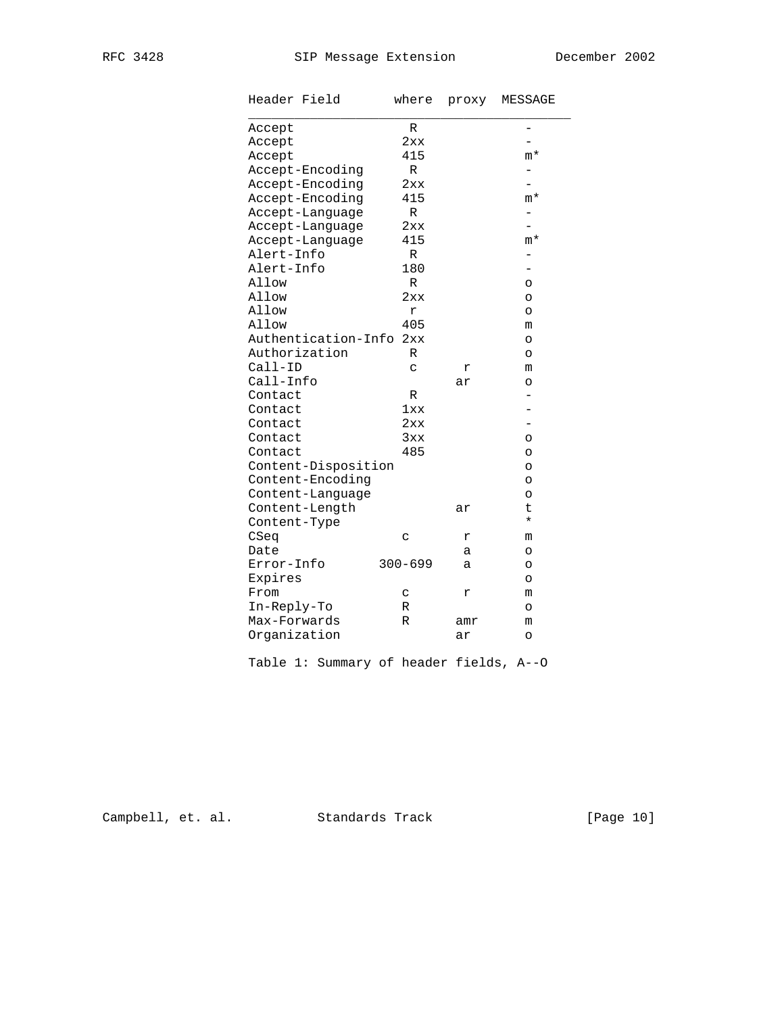| Header Field                   | where       | proxy | MESSAGE |
|--------------------------------|-------------|-------|---------|
| Accept                         | R           |       | -       |
| Accept                         | 2xx         |       |         |
| Accept                         | 415         |       | m*      |
| Accept-Encoding                | R           |       |         |
| Accept-Encoding                | 2xx         |       |         |
| Accept-Encoding                | 415         |       | $m*$    |
| Accept-Language                | R           |       |         |
| Accept-Language                | 2xx         |       | -       |
| Accept-Language                | 415         |       | $m*$    |
| Alert-Info                     | $\mathbb R$ |       | -       |
| Alert-Info                     | 180         |       | -       |
| Allow                          | R           |       | $\circ$ |
| Allow                          | 2xx         |       | O       |
| Allow                          | r           |       | O       |
| Allow                          | 405         |       | m       |
| Authentication-Info            | 2xx         |       | $\circ$ |
| Authorization                  | R           |       | O       |
| $Call-ID$                      | C           | r     | m       |
| Call-Info                      |             | ar    | O       |
| Contact                        | R           |       |         |
| Contact                        | 1xx         |       |         |
| Contact                        | 2xx         |       |         |
| Contact                        | 3xx         |       | O       |
| Contact                        | 485         |       | O       |
| Content-Disposition            |             |       | O       |
| Content-Encoding               |             |       | O       |
| Content-Language               |             |       | O       |
|                                |             |       | t       |
| Content-Length<br>Content-Type |             | ar    | $\star$ |
| CSeq                           | C           | r     | m       |
| Date                           |             |       |         |
| Error-Info                     | $300 - 699$ | а     | O       |
|                                |             | a     | O       |
| Expires                        |             |       | O       |
| From                           | C           | r     | m       |
| In-Reply-To                    | R           |       | $\circ$ |
| Max-Forwards                   | $\mathbb R$ | amr   | m       |
| Organization                   |             | ar    | O       |

Table 1: Summary of header fields, A--O

Campbell, et. al. Standards Track [Page 10]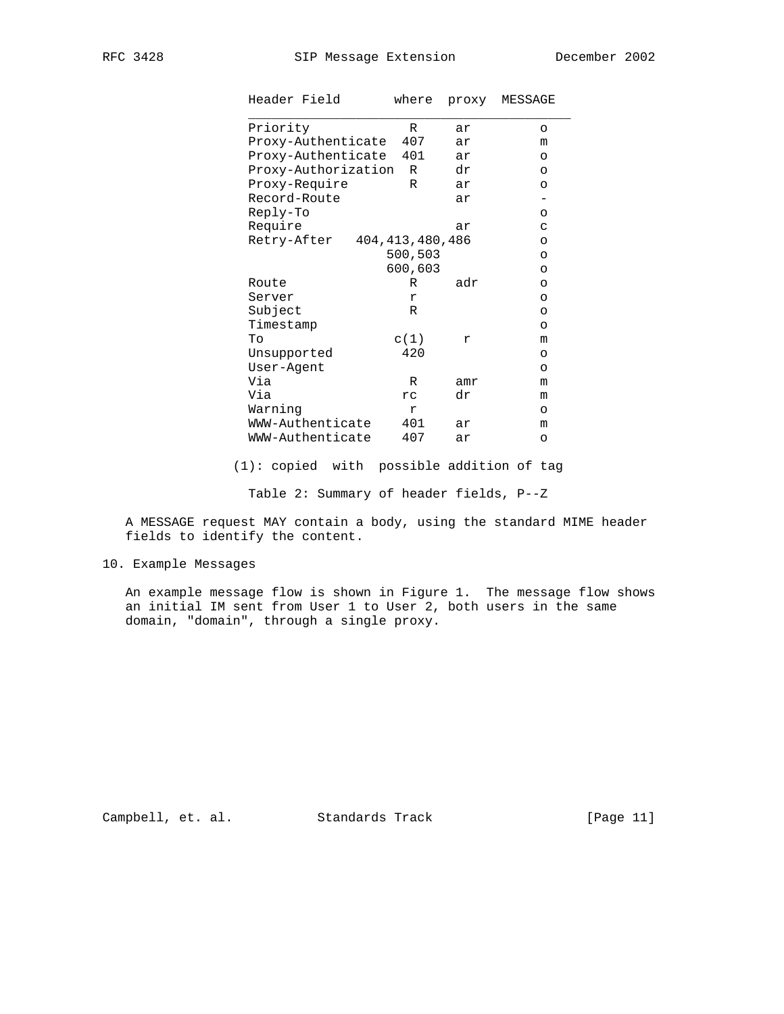|            | Header Field        | where              | proxy | MESSAGE |
|------------|---------------------|--------------------|-------|---------|
| Priority   |                     | R                  | ar    | $\circ$ |
|            | Proxy-Authenticate  | 407                | ar    | m       |
|            | Proxy-Authenticate  | 401                | ar    | O       |
|            | Proxy-Authorization | R                  | dr    | $\circ$ |
|            | Proxy-Require       | R                  | ar    | O       |
|            | Record-Route        |                    | ar    |         |
| Reply-To   |                     |                    |       | $\circ$ |
| Require    |                     |                    | ar    | C       |
|            | Retry-After         | 404, 413, 480, 486 |       | $\circ$ |
|            |                     | 500,503            |       | $\circ$ |
|            |                     | 600,603            |       | $\circ$ |
| Route      |                     | R                  | adr   | $\circ$ |
| Server     |                     | r                  |       | $\circ$ |
| Subject    |                     | R                  |       | $\circ$ |
| Timestamp  |                     |                    |       | $\circ$ |
| To         |                     | c(1)               | r     | m       |
|            | Unsupported         | 420                |       | $\circ$ |
| User-Agent |                     |                    |       | $\circ$ |
| Via        |                     | R                  | amr   | m       |
| Via        |                     | rc.                | dr    | m       |
| Warning    |                     | r                  |       | $\circ$ |
|            | WWW-Authenticate    | 401                | ar    | m       |
|            | WWW-Authenticate    | 407                | ar    | $\circ$ |

(1): copied with possible addition of tag

Table 2: Summary of header fields, P--Z

 A MESSAGE request MAY contain a body, using the standard MIME header fields to identify the content.

10. Example Messages

 An example message flow is shown in Figure 1. The message flow shows an initial IM sent from User 1 to User 2, both users in the same domain, "domain", through a single proxy.

Campbell, et. al. Standards Track [Page 11]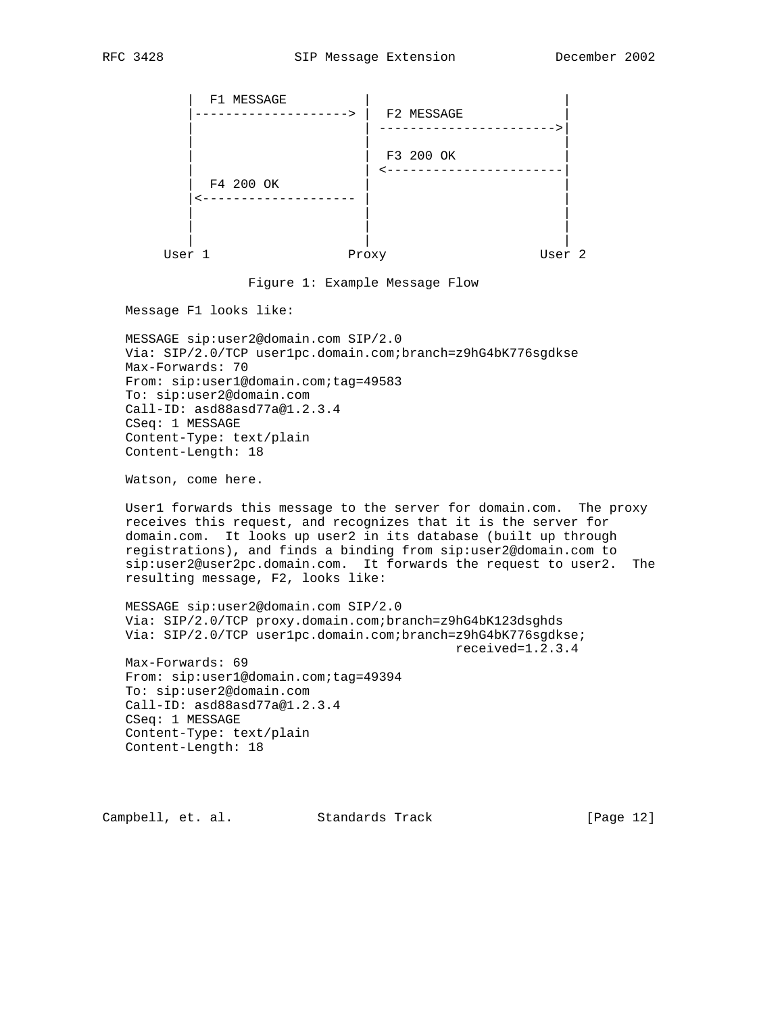

Figure 1: Example Message Flow

Message F1 looks like:

 MESSAGE sip:user2@domain.com SIP/2.0 Via: SIP/2.0/TCP user1pc.domain.com;branch=z9hG4bK776sgdkse Max-Forwards: 70 From: sip:user1@domain.com;tag=49583 To: sip:user2@domain.com Call-ID: asd88asd77a@1.2.3.4 CSeq: 1 MESSAGE Content-Type: text/plain Content-Length: 18

Watson, come here.

 User1 forwards this message to the server for domain.com. The proxy receives this request, and recognizes that it is the server for domain.com. It looks up user2 in its database (built up through registrations), and finds a binding from sip:user2@domain.com to sip:user2@user2pc.domain.com. It forwards the request to user2. The resulting message, F2, looks like:

 MESSAGE sip:user2@domain.com SIP/2.0 Via: SIP/2.0/TCP proxy.domain.com;branch=z9hG4bK123dsghds Via: SIP/2.0/TCP user1pc.domain.com;branch=z9hG4bK776sgdkse; received=1.2.3.4 Max-Forwards: 69

 From: sip:user1@domain.com;tag=49394 To: sip:user2@domain.com Call-ID: asd88asd77a@1.2.3.4 CSeq: 1 MESSAGE Content-Type: text/plain Content-Length: 18

Campbell, et. al. Standards Track [Page 12]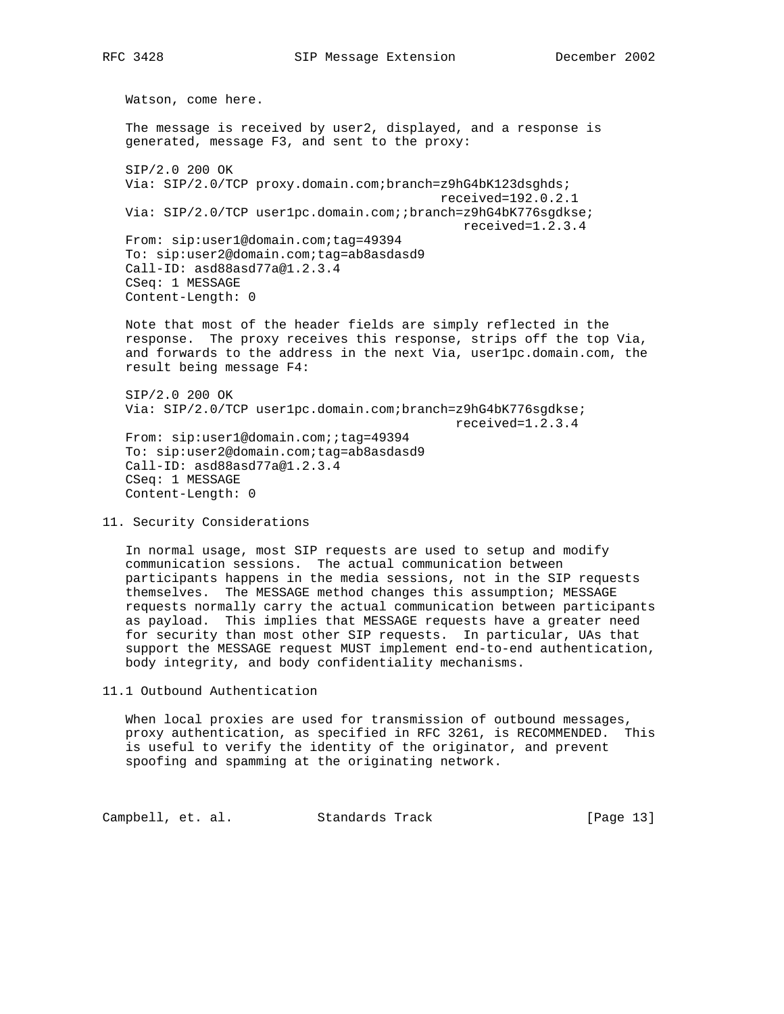Watson, come here. The message is received by user2, displayed, and a response is generated, message F3, and sent to the proxy: SIP/2.0 200 OK Via: SIP/2.0/TCP proxy.domain.com;branch=z9hG4bK123dsghds; received=192.0.2.1 Via: SIP/2.0/TCP user1pc.domain.com; ; branch=z9hG4bK776sgdkse; received=1.2.3.4 From: sip:user1@domain.com;tag=49394 To: sip:user2@domain.com;tag=ab8asdasd9 Call-ID: asd88asd77a@1.2.3.4 CSeq: 1 MESSAGE Content-Length: 0 Note that most of the header fields are simply reflected in the response. The proxy receives this response, strips off the top Via, and forwards to the address in the next Via, user1pc.domain.com, the result being message F4: SIP/2.0 200 OK Via: SIP/2.0/TCP user1pc.domain.com;branch=z9hG4bK776sgdkse; received=1.2.3.4

From: sip:user1@domain.com;;tag=49394 To: sip:user2@domain.com;tag=ab8asdasd9 Call-ID: asd88asd77a@1.2.3.4 CSeq: 1 MESSAGE Content-Length: 0

11. Security Considerations

 In normal usage, most SIP requests are used to setup and modify communication sessions. The actual communication between participants happens in the media sessions, not in the SIP requests themselves. The MESSAGE method changes this assumption; MESSAGE requests normally carry the actual communication between participants as payload. This implies that MESSAGE requests have a greater need for security than most other SIP requests. In particular, UAs that support the MESSAGE request MUST implement end-to-end authentication, body integrity, and body confidentiality mechanisms.

11.1 Outbound Authentication

 When local proxies are used for transmission of outbound messages, proxy authentication, as specified in RFC 3261, is RECOMMENDED. This is useful to verify the identity of the originator, and prevent spoofing and spamming at the originating network.

Campbell, et. al. Standards Track [Page 13]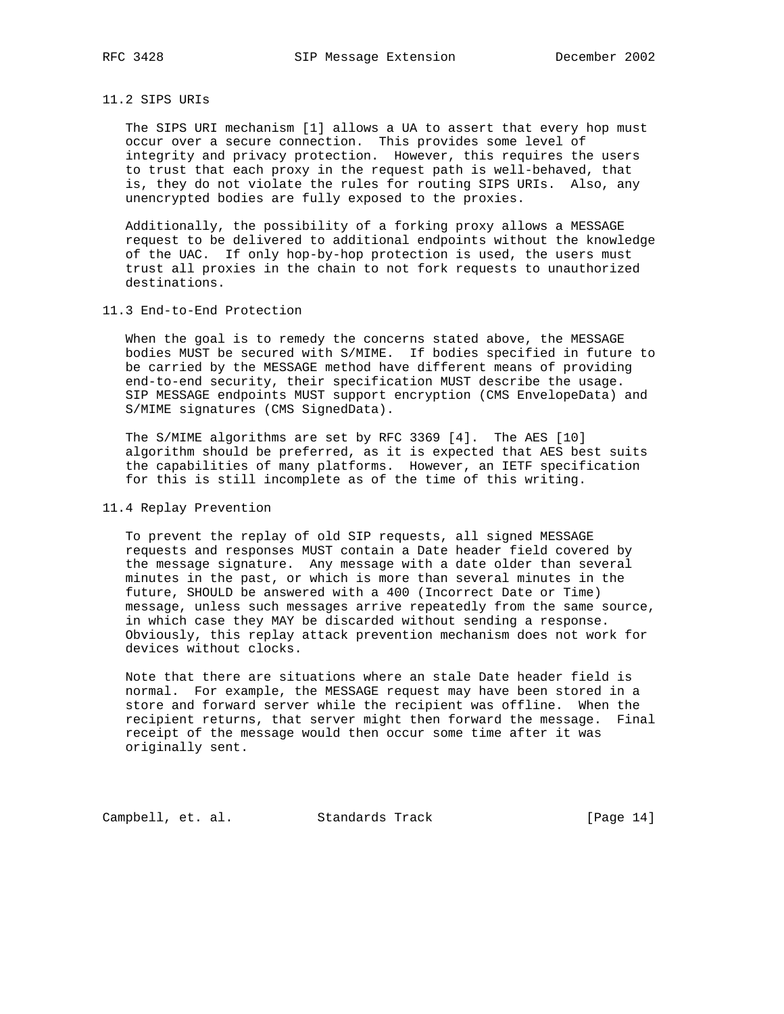## 11.2 SIPS URIs

 The SIPS URI mechanism [1] allows a UA to assert that every hop must occur over a secure connection. This provides some level of integrity and privacy protection. However, this requires the users to trust that each proxy in the request path is well-behaved, that is, they do not violate the rules for routing SIPS URIs. Also, any unencrypted bodies are fully exposed to the proxies.

 Additionally, the possibility of a forking proxy allows a MESSAGE request to be delivered to additional endpoints without the knowledge of the UAC. If only hop-by-hop protection is used, the users must trust all proxies in the chain to not fork requests to unauthorized destinations.

#### 11.3 End-to-End Protection

 When the goal is to remedy the concerns stated above, the MESSAGE bodies MUST be secured with S/MIME. If bodies specified in future to be carried by the MESSAGE method have different means of providing end-to-end security, their specification MUST describe the usage. SIP MESSAGE endpoints MUST support encryption (CMS EnvelopeData) and S/MIME signatures (CMS SignedData).

 The S/MIME algorithms are set by RFC 3369 [4]. The AES [10] algorithm should be preferred, as it is expected that AES best suits the capabilities of many platforms. However, an IETF specification for this is still incomplete as of the time of this writing.

#### 11.4 Replay Prevention

 To prevent the replay of old SIP requests, all signed MESSAGE requests and responses MUST contain a Date header field covered by the message signature. Any message with a date older than several minutes in the past, or which is more than several minutes in the future, SHOULD be answered with a 400 (Incorrect Date or Time) message, unless such messages arrive repeatedly from the same source, in which case they MAY be discarded without sending a response. Obviously, this replay attack prevention mechanism does not work for devices without clocks.

 Note that there are situations where an stale Date header field is normal. For example, the MESSAGE request may have been stored in a store and forward server while the recipient was offline. When the recipient returns, that server might then forward the message. Final receipt of the message would then occur some time after it was originally sent.

Campbell, et. al. Standards Track [Page 14]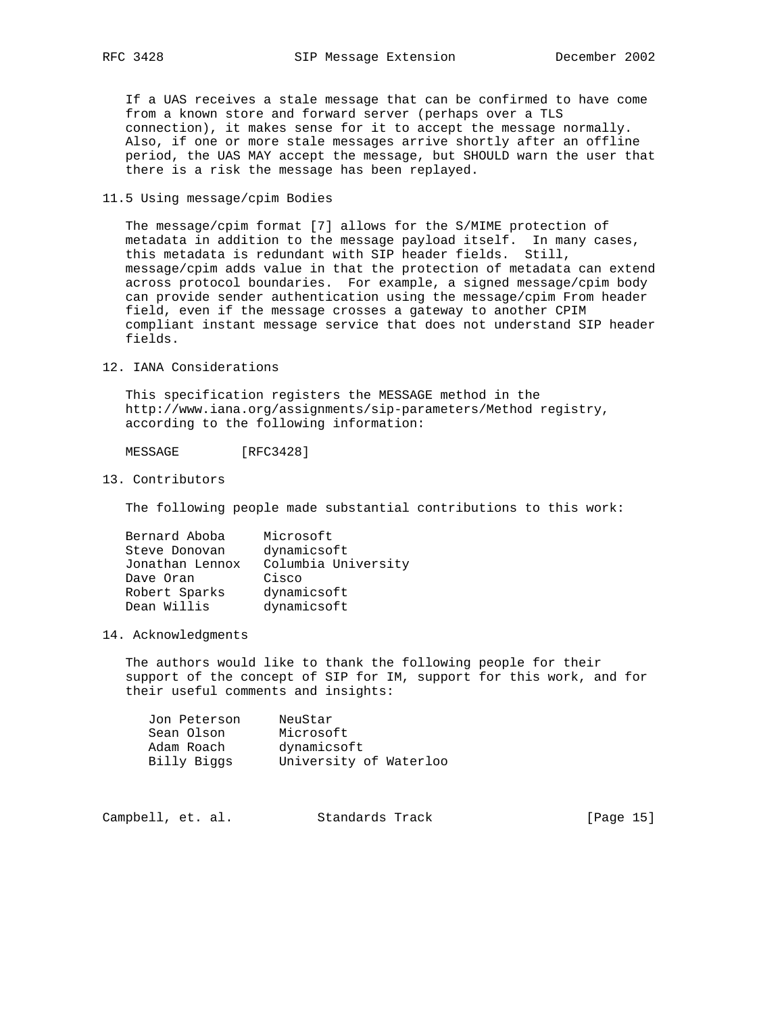If a UAS receives a stale message that can be confirmed to have come from a known store and forward server (perhaps over a TLS connection), it makes sense for it to accept the message normally. Also, if one or more stale messages arrive shortly after an offline period, the UAS MAY accept the message, but SHOULD warn the user that there is a risk the message has been replayed.

## 11.5 Using message/cpim Bodies

 The message/cpim format [7] allows for the S/MIME protection of metadata in addition to the message payload itself. In many cases, this metadata is redundant with SIP header fields. Still, message/cpim adds value in that the protection of metadata can extend across protocol boundaries. For example, a signed message/cpim body can provide sender authentication using the message/cpim From header field, even if the message crosses a gateway to another CPIM compliant instant message service that does not understand SIP header fields.

12. IANA Considerations

 This specification registers the MESSAGE method in the http://www.iana.org/assignments/sip-parameters/Method registry, according to the following information:

MESSAGE [RFC3428]

13. Contributors

The following people made substantial contributions to this work:

| Bernard Aboba   | Microsoft           |
|-----------------|---------------------|
| Steve Donovan   | dynamicsoft         |
| Jonathan Lennox | Columbia University |
| Dave Oran       | Cisco               |
| Robert Sparks   | dynamicsoft         |
| Dean Willis     | dynamicsoft         |

## 14. Acknowledgments

 The authors would like to thank the following people for their support of the concept of SIP for IM, support for this work, and for their useful comments and insights:

| Jon Peterson | NeuStar                |
|--------------|------------------------|
| Sean Olson   | Microsoft              |
| Adam Roach   | dynamicsoft            |
| Billy Biggs  | University of Waterloo |

| Campbell, et. al. |  |  | Standards Track |  | [Page 15] |  |
|-------------------|--|--|-----------------|--|-----------|--|
|-------------------|--|--|-----------------|--|-----------|--|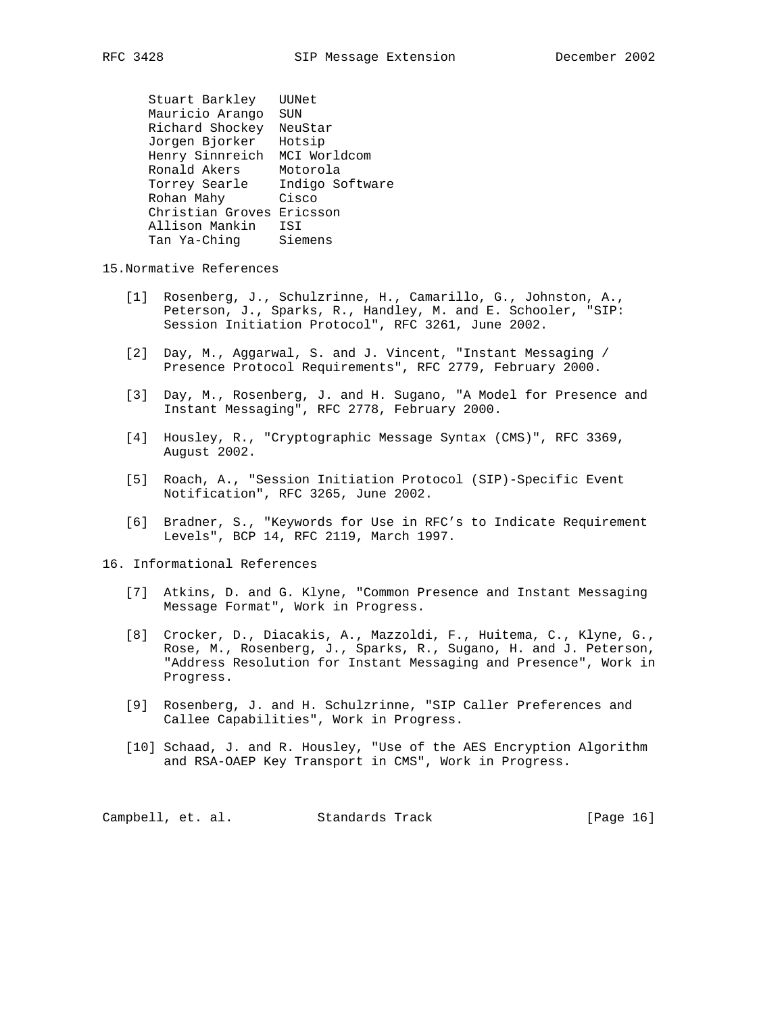Stuart Barkley UUNet Mauricio Arango SUN Richard Shockey NeuStar Jorgen Bjorker Hotsip Henry Sinnreich MCI Worldcom Ronald Akers Motorola Torrey Searle Indigo Software Rohan Mahy Cisco Christian Groves Ericsson Allison Mankin ISI Tan Ya-Ching Siemens

15.Normative References

- [1] Rosenberg, J., Schulzrinne, H., Camarillo, G., Johnston, A., Peterson, J., Sparks, R., Handley, M. and E. Schooler, "SIP: Session Initiation Protocol", RFC 3261, June 2002.
- [2] Day, M., Aggarwal, S. and J. Vincent, "Instant Messaging / Presence Protocol Requirements", RFC 2779, February 2000.
- [3] Day, M., Rosenberg, J. and H. Sugano, "A Model for Presence and Instant Messaging", RFC 2778, February 2000.
- [4] Housley, R., "Cryptographic Message Syntax (CMS)", RFC 3369, August 2002.
- [5] Roach, A., "Session Initiation Protocol (SIP)-Specific Event Notification", RFC 3265, June 2002.
- [6] Bradner, S., "Keywords for Use in RFC's to Indicate Requirement Levels", BCP 14, RFC 2119, March 1997.

16. Informational References

- [7] Atkins, D. and G. Klyne, "Common Presence and Instant Messaging Message Format", Work in Progress.
- [8] Crocker, D., Diacakis, A., Mazzoldi, F., Huitema, C., Klyne, G., Rose, M., Rosenberg, J., Sparks, R., Sugano, H. and J. Peterson, "Address Resolution for Instant Messaging and Presence", Work in Progress.
- [9] Rosenberg, J. and H. Schulzrinne, "SIP Caller Preferences and Callee Capabilities", Work in Progress.
- [10] Schaad, J. and R. Housley, "Use of the AES Encryption Algorithm and RSA-OAEP Key Transport in CMS", Work in Progress.

Campbell, et. al. Standards Track [Page 16]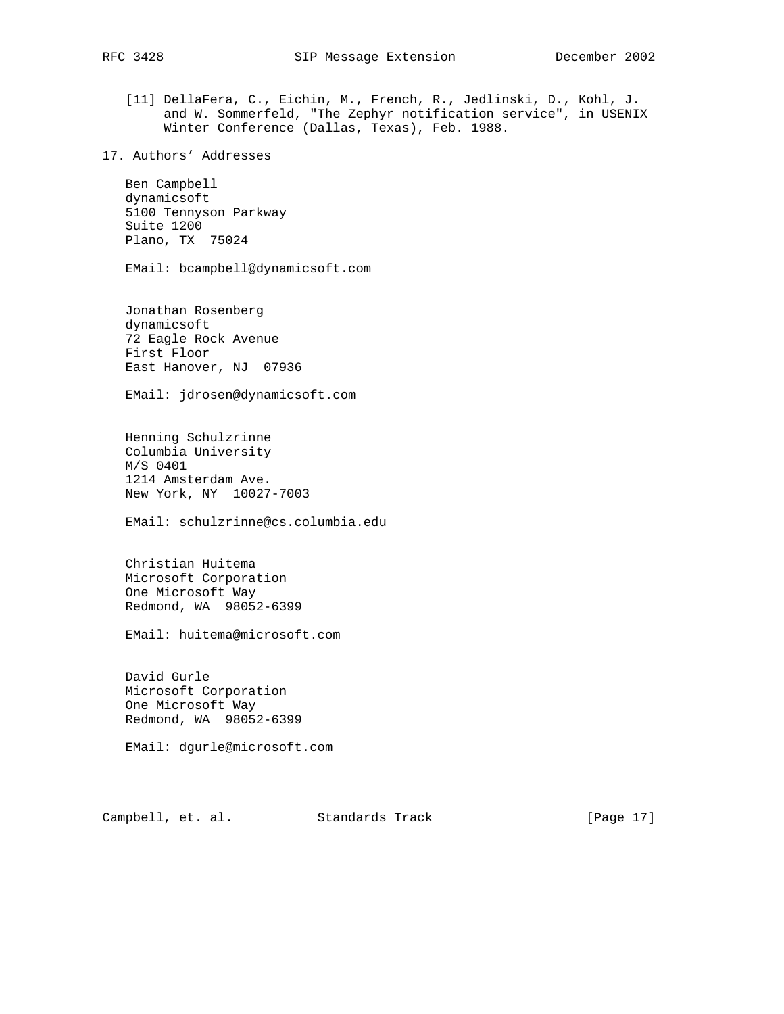- [11] DellaFera, C., Eichin, M., French, R., Jedlinski, D., Kohl, J. and W. Sommerfeld, "The Zephyr notification service", in USENIX Winter Conference (Dallas, Texas), Feb. 1988.
- 17. Authors' Addresses

 Ben Campbell dynamicsoft 5100 Tennyson Parkway Suite 1200 Plano, TX 75024

EMail: bcampbell@dynamicsoft.com

 Jonathan Rosenberg dynamicsoft 72 Eagle Rock Avenue First Floor East Hanover, NJ 07936

EMail: jdrosen@dynamicsoft.com

 Henning Schulzrinne Columbia University M/S 0401 1214 Amsterdam Ave. New York, NY 10027-7003

EMail: schulzrinne@cs.columbia.edu

 Christian Huitema Microsoft Corporation One Microsoft Way Redmond, WA 98052-6399

EMail: huitema@microsoft.com

 David Gurle Microsoft Corporation One Microsoft Way Redmond, WA 98052-6399

EMail: dgurle@microsoft.com

Campbell, et. al. Standards Track [Page 17]